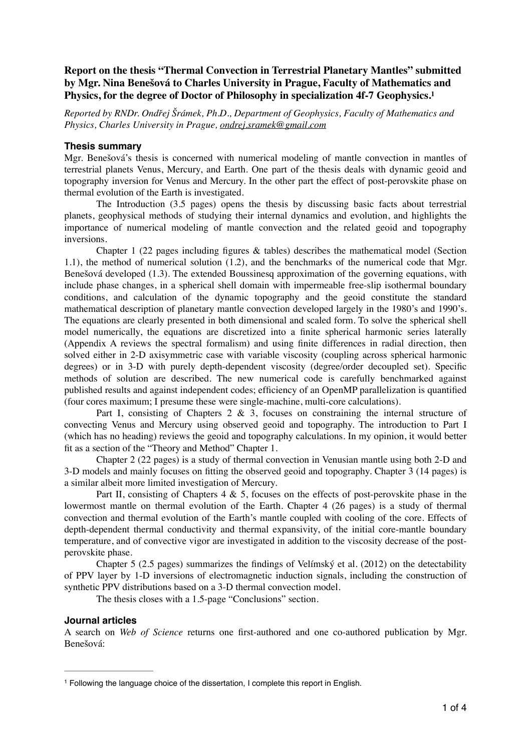# **Report on the thesis "Thermal Convection in Terrestrial Planetary Mantles" submitted by Mgr. Nina Benešová to Charles University in Prague, Faculty of Mathematics and Physics, for the degree of Doctor of Philosophy in specialization 4f-7 Geophysics.1**

*Reported by RNDr. Ondřej Šrámek, Ph.D., Department of Geophysics, Faculty of Mathematics and Physics, Charles University in Prague, [ondrej.sramek@gmail.com](mailto:ondrej.sramek@gmail.com)*

### **Thesis summary**

Mgr. Benešová's thesis is concerned with numerical modeling of mantle convection in mantles of terrestrial planets Venus, Mercury, and Earth. One part of the thesis deals with dynamic geoid and topography inversion for Venus and Mercury. In the other part the effect of post-perovskite phase on thermal evolution of the Earth is investigated.

The Introduction (3.5 pages) opens the thesis by discussing basic facts about terrestrial planets, geophysical methods of studying their internal dynamics and evolution, and highlights the importance of numerical modeling of mantle convection and the related geoid and topography inversions.

Chapter 1 (22 pages including figures  $\&$  tables) describes the mathematical model (Section 1.1), the method of numerical solution (1.2), and the benchmarks of the numerical code that Mgr. Benešová developed (1.3). The extended Boussinesq approximation of the governing equations, with include phase changes, in a spherical shell domain with impermeable free-slip isothermal boundary conditions, and calculation of the dynamic topography and the geoid constitute the standard mathematical description of planetary mantle convection developed largely in the 1980's and 1990's. The equations are clearly presented in both dimensional and scaled form. To solve the spherical shell model numerically, the equations are discretized into a finite spherical harmonic series laterally (Appendix A reviews the spectral formalism) and using finite differences in radial direction, then solved either in 2-D axisymmetric case with variable viscosity (coupling across spherical harmonic degrees) or in 3-D with purely depth-dependent viscosity (degree/order decoupled set). Specific methods of solution are described. The new numerical code is carefully benchmarked against published results and against independent codes; efficiency of an OpenMP parallelization is quantified (four cores maximum; I presume these were single-machine, multi-core calculations).

Part I, consisting of Chapters 2  $\&$  3, focuses on constraining the internal structure of convecting Venus and Mercury using observed geoid and topography. The introduction to Part I (which has no heading) reviews the geoid and topography calculations. In my opinion, it would better fit as a section of the "Theory and Method" Chapter 1.

Chapter 2 (22 pages) is a study of thermal convection in Venusian mantle using both 2-D and 3-D models and mainly focuses on fitting the observed geoid and topography. Chapter 3 (14 pages) is a similar albeit more limited investigation of Mercury.

Part II, consisting of Chapters  $4 \& 5$ , focuses on the effects of post-perovskite phase in the lowermost mantle on thermal evolution of the Earth. Chapter 4 (26 pages) is a study of thermal convection and thermal evolution of the Earth's mantle coupled with cooling of the core. Effects of depth-dependent thermal conductivity and thermal expansivity, of the initial core-mantle boundary temperature, and of convective vigor are investigated in addition to the viscosity decrease of the postperovskite phase.

Chapter 5 (2.5 pages) summarizes the findings of Velímský et al. (2012) on the detectability of PPV layer by 1-D inversions of electromagnetic induction signals, including the construction of synthetic PPV distributions based on a 3-D thermal convection model.

The thesis closes with a 1.5-page "Conclusions" section.

## **Journal articles**

A search on *Web of Science* returns one first-authored and one co-authored publication by Mgr. Benešová:

<sup>&</sup>lt;sup>1</sup> Following the language choice of the dissertation, I complete this report in English.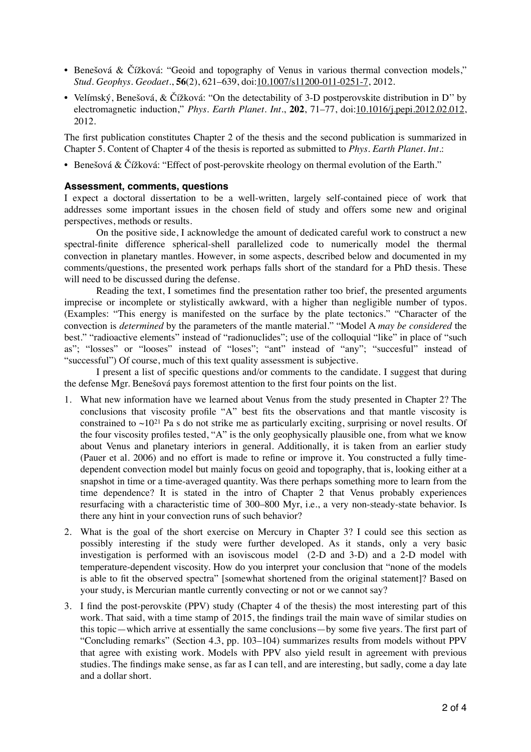- Benešová & Čížková: "Geoid and topography of Venus in various thermal convection models," *Stud. Geophys. Geodaet.*, **56**(2), 621–639, doi:[10.1007/s11200-011-0251-7,](http://dx.doi.org/10.1007/s11200-011-0251-7) 2012.
- Velímský, Benešová, & Čížková: "On the detectability of 3-D postperovskite distribution in D" by electromagnetic induction," *Phys. Earth Planet. Int.*, **202**, 71–77, doi:[10.1016/j.pepi.2012.02.012](http://dx.doi.org/10.1016/j.pepi.2012.02.012), 2012.

The first publication constitutes Chapter 2 of the thesis and the second publication is summarized in Chapter 5. Content of Chapter 4 of the thesis is reported as submitted to *Phys. Earth Planet. Int.*:

• Benešová & Čížková: "Effect of post-perovskite rheology on thermal evolution of the Earth."

### **Assessment, comments, questions**

I expect a doctoral dissertation to be a well-written, largely self-contained piece of work that addresses some important issues in the chosen field of study and offers some new and original perspectives, methods or results.

On the positive side, I acknowledge the amount of dedicated careful work to construct a new spectral-finite difference spherical-shell parallelized code to numerically model the thermal convection in planetary mantles. However, in some aspects, described below and documented in my comments/questions, the presented work perhaps falls short of the standard for a PhD thesis. These will need to be discussed during the defense.

Reading the text, I sometimes find the presentation rather too brief, the presented arguments imprecise or incomplete or stylistically awkward, with a higher than negligible number of typos. (Examples: "This energy is manifested on the surface by the plate tectonics." "Character of the convection is *determined* by the parameters of the mantle material." "Model A *may be considered* the best." "radioactive elements" instead of "radionuclides"; use of the colloquial "like" in place of "such as"; "losses" or "looses" instead of "loses"; "ant" instead of "any"; "succesful" instead of "successful") Of course, much of this text quality assessment is subjective.

I present a list of specific questions and/or comments to the candidate. I suggest that during the defense Mgr. Benešová pays foremost attention to the first four points on the list.

- 1. What new information have we learned about Venus from the study presented in Chapter 2? The conclusions that viscosity profile "A" best fits the observations and that mantle viscosity is constrained to  $\sim 10^{21}$  Pa s do not strike me as particularly exciting, surprising or novel results. Of the four viscosity profiles tested, "A" is the only geophysically plausible one, from what we know about Venus and planetary interiors in general. Additionally, it is taken from an earlier study (Pauer et al. 2006) and no effort is made to refine or improve it. You constructed a fully timedependent convection model but mainly focus on geoid and topography, that is, looking either at a snapshot in time or a time-averaged quantity. Was there perhaps something more to learn from the time dependence? It is stated in the intro of Chapter 2 that Venus probably experiences resurfacing with a characteristic time of 300–800 Myr, i.e., a very non-steady-state behavior. Is there any hint in your convection runs of such behavior?
- 2. What is the goal of the short exercise on Mercury in Chapter 3? I could see this section as possibly interesting if the study were further developed. As it stands, only a very basic investigation is performed with an isoviscous model (2-D and 3-D) and a 2-D model with temperature-dependent viscosity. How do you interpret your conclusion that "none of the models is able to fit the observed spectra" [somewhat shortened from the original statement]? Based on your study, is Mercurian mantle currently convecting or not or we cannot say?
- 3. I find the post-perovskite (PPV) study (Chapter 4 of the thesis) the most interesting part of this work. That said, with a time stamp of 2015, the findings trail the main wave of similar studies on this topic—which arrive at essentially the same conclusions—by some five years. The first part of "Concluding remarks" (Section 4.3, pp. 103–104) summarizes results from models without PPV that agree with existing work. Models with PPV also yield result in agreement with previous studies. The findings make sense, as far as I can tell, and are interesting, but sadly, come a day late and a dollar short.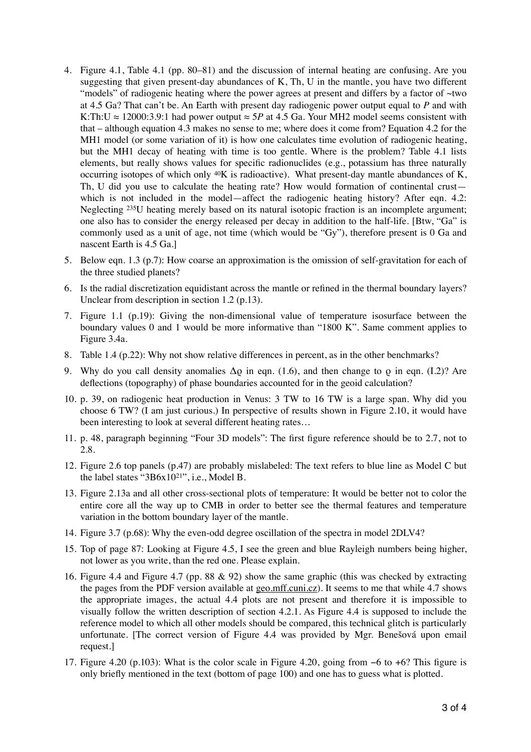- 4. Figure 4.1, Table 4.1 (pp. 80–81) and the discussion of internal heating are confusing. Are you suggesting that given present-day abundances of K, Th, U in the mantle, you have two different "models" of radiogenic heating where the power agrees at present and differs by a factor of ~two at 4.5 Ga? That can't be. An Earth with present day radiogenic power output equal to *P* and with K:Th:U  $\approx$  12000:3.9:1 had power output  $\approx$  5*P* at 4.5 Ga. Your MH2 model seems consistent with that – although equation 4.3 makes no sense to me; where does it come from? Equation 4.2 for the MH1 model (or some variation of it) is how one calculates time evolution of radiogenic heating, but the MH1 decay of heating with time is too gentle. Where is the problem? Table 4.1 lists elements, but really shows values for specific radionuclides (e.g., potassium has three naturally occurring isotopes of which only 40K is radioactive). What present-day mantle abundances of K, Th, U did you use to calculate the heating rate? How would formation of continental crust which is not included in the model—affect the radiogenic heating history? After eqn. 4.2: Neglecting 235U heating merely based on its natural isotopic fraction is an incomplete argument; one also has to consider the energy released per decay in addition to the half-life. [Btw, "Ga" is commonly used as a unit of age, not time (which would be "Gy"), therefore present is 0 Ga and nascent Earth is 4.5 Ga.]
- 5. Below eqn. 1.3 (p.7): How coarse an approximation is the omission of self-gravitation for each of the three studied planets?
- 6. Is the radial discretization equidistant across the mantle or refined in the thermal boundary layers? Unclear from description in section 1.2 (p.13).
- 7. Figure 1.1 (p.19): Giving the non-dimensional value of temperature isosurface between the boundary values 0 and 1 would be more informative than "1800 K". Same comment applies to Figure 3.4a.
- 8. Table 1.4 (p.22): Why not show relative differences in percent, as in the other benchmarks?
- 9. Why do you call density anomalies  $\Delta \rho$  in eqn. (1.6), and then change to  $\rho$  in eqn. (I.2)? Are deflections (topography) of phase boundaries accounted for in the geoid calculation?
- 10. p. 39, on radiogenic heat production in Venus: 3 TW to 16 TW is a large span. Why did you choose 6 TW? (I am just curious.) In perspective of results shown in Figure 2.10, it would have been interesting to look at several different heating rates…
- 11. p. 48, paragraph beginning "Four 3D models": The first figure reference should be to 2.7, not to 2.8.
- 12. Figure 2.6 top panels (p.47) are probably mislabeled: The text refers to blue line as Model C but the label states "3B6x1021", i.e., Model B.
- 13. Figure 2.13a and all other cross-sectional plots of temperature: It would be better not to color the entire core all the way up to CMB in order to better see the thermal features and temperature variation in the bottom boundary layer of the mantle.
- 14. Figure 3.7 (p.68): Why the even-odd degree oscillation of the spectra in model 2DLV4?
- 15. Top of page 87: Looking at Figure 4.5, I see the green and blue Rayleigh numbers being higher, not lower as you write, than the red one. Please explain.
- 16. Figure 4.4 and Figure 4.7 (pp. 88 & 92) show the same graphic (this was checked by extracting the pages from the PDF version available at [geo.mff.cuni.cz](http://geo.mff.cuni.cz)). It seems to me that while 4.7 shows the appropriate images, the actual 4.4 plots are not present and therefore it is impossible to visually follow the written description of section 4.2.1. As Figure 4.4 is supposed to include the reference model to which all other models should be compared, this technical glitch is particularly unfortunate. [The correct version of Figure 4.4 was provided by Mgr. Benešová upon email request.]
- 17. Figure 4.20 (p.103): What is the color scale in Figure 4.20, going from −6 to +6? This figure is only briefly mentioned in the text (bottom of page 100) and one has to guess what is plotted.